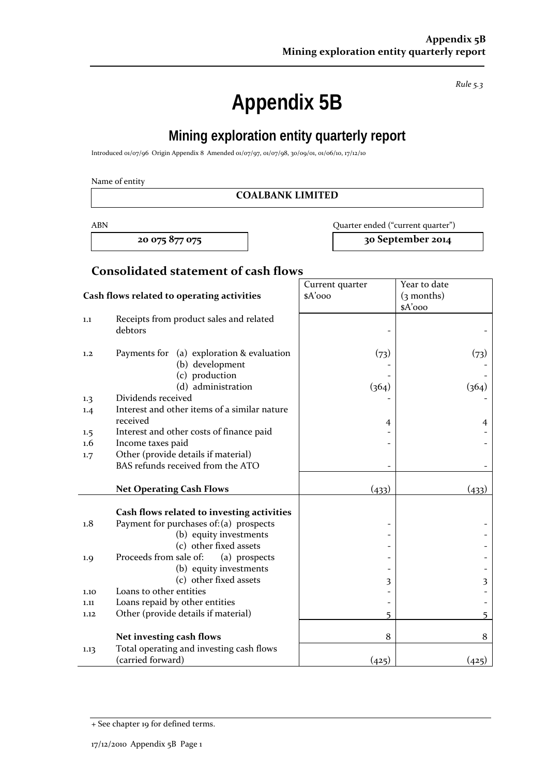**Appendix 5B** 

**Mining exploration entity quarterly report** 

Introduced 01/07/96 Origin Appendix 8 Amended 01/07/97, 01/07/98, 30/09/01, 01/06/10, 17/12/10

Name of entity

#### **COALBANK LIMITED**

ABN Quarter ended ("current quarter")

**20 075 877 075 30 September 2014**

## **Consolidated statement of cash flows**

|                                            |                                                                                | Current quarter | Year to date |
|--------------------------------------------|--------------------------------------------------------------------------------|-----------------|--------------|
| Cash flows related to operating activities |                                                                                | $A'$ ooo        | $(3$ months) |
|                                            |                                                                                |                 | \$A'ooo      |
| 1.1                                        | Receipts from product sales and related<br>debtors                             |                 |              |
| 1,2                                        | Payments for (a) exploration & evaluation<br>(b) development<br>(c) production | (73)            | (73)         |
|                                            | (d) administration                                                             | (364)           | (364)        |
| 1.3<br>1.4                                 | Dividends received<br>Interest and other items of a similar nature             |                 |              |
|                                            | received                                                                       | 4               | 4            |
| 1.5                                        | Interest and other costs of finance paid                                       |                 |              |
| $1.6\phantom{0}$                           | Income taxes paid                                                              |                 |              |
| 1.7                                        | Other (provide details if material)                                            |                 |              |
|                                            | BAS refunds received from the ATO                                              |                 |              |
|                                            | <b>Net Operating Cash Flows</b>                                                | (433)           | (433)        |
|                                            |                                                                                |                 |              |
|                                            | Cash flows related to investing activities                                     |                 |              |
| 1.8                                        | Payment for purchases of: (a) prospects                                        |                 |              |
|                                            | (b) equity investments                                                         |                 |              |
|                                            | (c) other fixed assets                                                         |                 |              |
| 1.9                                        | Proceeds from sale of:<br>(a) prospects                                        |                 |              |
|                                            | (b) equity investments                                                         |                 |              |
|                                            | (c) other fixed assets<br>Loans to other entities                              | 3               | 3            |
| 1.10                                       | Loans repaid by other entities                                                 |                 |              |
| 1.11                                       | Other (provide details if material)                                            |                 |              |
| 1.12                                       |                                                                                | 5               | 5            |
|                                            | Net investing cash flows                                                       | 8               | 8            |
| 1.13                                       | Total operating and investing cash flows<br>(carried forward)                  | (425)           | (425)        |

*Rule 5.3*

<sup>+</sup> See chapter 19 for defined terms.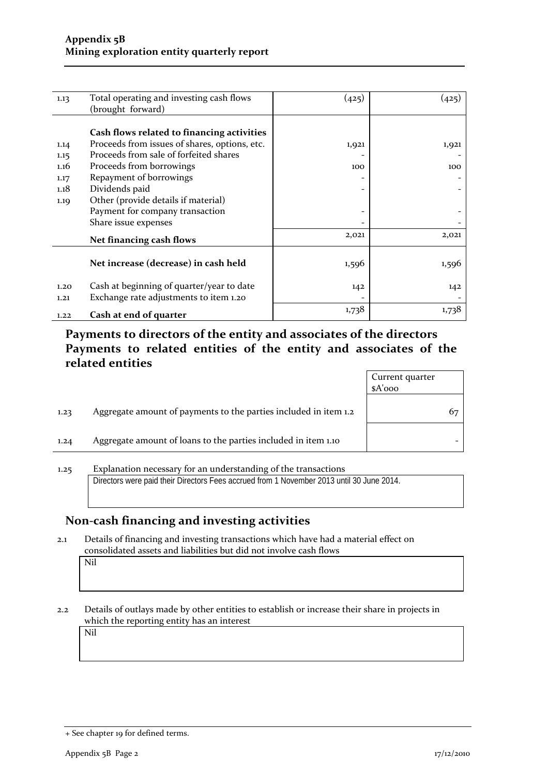| 1.13 | Total operating and investing cash flows      | (425) | (425) |
|------|-----------------------------------------------|-------|-------|
|      | (brought forward)                             |       |       |
|      |                                               |       |       |
|      | Cash flows related to financing activities    |       |       |
| 1.14 | Proceeds from issues of shares, options, etc. | 1,921 | 1,921 |
| 1.15 | Proceeds from sale of forfeited shares        |       |       |
| 1.16 | Proceeds from borrowings                      | 100   | 100   |
| 1.17 | Repayment of borrowings                       |       |       |
| 1.18 | Dividends paid                                |       |       |
| 1.19 | Other (provide details if material)           |       |       |
|      | Payment for company transaction               |       |       |
|      | Share issue expenses                          |       |       |
|      | Net financing cash flows                      | 2,021 | 2,021 |
|      |                                               |       |       |
|      | Net increase (decrease) in cash held          | 1,596 | 1,596 |
|      |                                               |       |       |
| 1.20 | Cash at beginning of quarter/year to date     | 142   | 142   |
| 1,21 | Exchange rate adjustments to item 1.20        |       |       |
| 1.22 | Cash at end of quarter                        | 1,738 | 1,738 |
|      |                                               |       |       |

### **Payments to directors of the entity and associates of the directors Payments to related entities of the entity and associates of the related entities**

|      |                                                                  | Current quarter<br>\$A'ooo |    |
|------|------------------------------------------------------------------|----------------------------|----|
| 1.23 | Aggregate amount of payments to the parties included in item 1.2 |                            | 67 |
| 1.24 | Aggregate amount of loans to the parties included in item 1.10   |                            |    |
|      |                                                                  |                            |    |

1.25 Explanation necessary for an understanding of the transactions Directors were paid their Directors Fees accrued from 1 November 2013 until 30 June 2014.

### **Non‐cash financing and investing activities**

2.1 Details of financing and investing transactions which have had a material effect on consolidated assets and liabilities but did not involve cash flows

Nil

2.2 Details of outlays made by other entities to establish or increase their share in projects in which the reporting entity has an interest

Nil

<sup>+</sup> See chapter 19 for defined terms.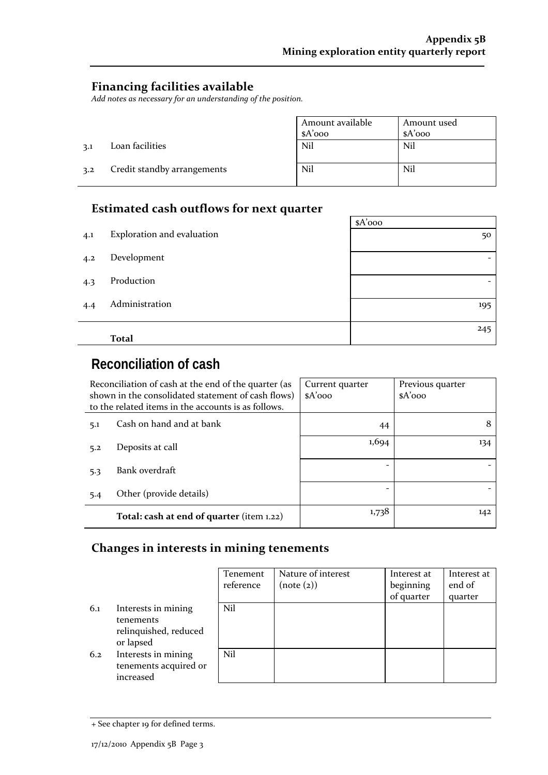$\sim$ 

## **Financing facilities available**

*Add notes as necessary for an understanding of the position.*

|     |                             | Amount available | Amount used |
|-----|-----------------------------|------------------|-------------|
|     |                             | $A'$ 000         | $A'$ 000    |
| 3.1 | Loan facilities             | Nil              | Nil         |
| 3.2 | Credit standby arrangements | Nil              | Nil         |

## **Estimated cash outflows for next quarter**

|     |                            | $A'$ 000 |
|-----|----------------------------|----------|
| 4.1 | Exploration and evaluation | 50       |
| 4.2 | Development                | -        |
| 4.3 | Production                 |          |
| 4.4 | Administration             | 195      |
|     | <b>Total</b>               | 245      |

# **Reconciliation of cash**

| Reconciliation of cash at the end of the quarter (as<br>shown in the consolidated statement of cash flows)<br>to the related items in the accounts is as follows. |                                           | Current quarter<br>$A'$ 000 | Previous quarter<br>$A'$ 000 |
|-------------------------------------------------------------------------------------------------------------------------------------------------------------------|-------------------------------------------|-----------------------------|------------------------------|
| 5.1                                                                                                                                                               | Cash on hand and at bank                  | 44                          |                              |
| 5.2                                                                                                                                                               | Deposits at call                          | 1,694                       | 134                          |
| 5.3                                                                                                                                                               | Bank overdraft                            |                             |                              |
| 5.4                                                                                                                                                               | Other (provide details)                   |                             |                              |
|                                                                                                                                                                   | Total: cash at end of quarter (item 1.22) | 1,738                       | 142                          |

#### **Changes in interests in mining tenements**

|     |                                                                        | Tenement  | Nature of interest | Interest at | Interest at |
|-----|------------------------------------------------------------------------|-----------|--------------------|-------------|-------------|
|     |                                                                        | reference | (note (2))         | beginning   | end of      |
|     |                                                                        |           |                    | of quarter  | quarter     |
| 6.1 | Interests in mining<br>tenements<br>relinquished, reduced<br>or lapsed | Nil       |                    |             |             |
| 6.2 | Interests in mining<br>tenements acquired or<br>increased              | Nil       |                    |             |             |

<sup>+</sup> See chapter 19 for defined terms.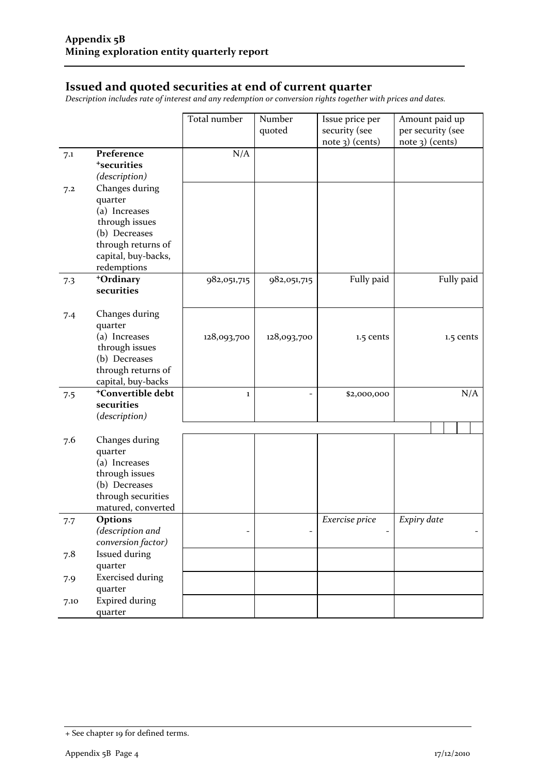#### **Issued and quoted securities at end of current quarter**

*Description includes rate of interest and any redemption or conversion rights together with prices and dates.*

|      |                                                                                                                                           | Total number | Number<br>quoted | Issue price per<br>security (see<br>note 3) (cents) | Amount paid up<br>per security (see<br>note 3) (cents) |
|------|-------------------------------------------------------------------------------------------------------------------------------------------|--------------|------------------|-----------------------------------------------------|--------------------------------------------------------|
| 7.1  | Preference<br><sup>+</sup> securities<br>(description)                                                                                    | N/A          |                  |                                                     |                                                        |
| 7.2  | Changes during<br>quarter<br>(a) Increases<br>through issues<br>(b) Decreases<br>through returns of<br>capital, buy-backs,<br>redemptions |              |                  |                                                     |                                                        |
| 7.3  | +Ordinary<br>securities                                                                                                                   | 982,051,715  | 982,051,715      | Fully paid                                          | Fully paid                                             |
| 7.4  | Changes during<br>quarter<br>(a) Increases<br>through issues<br>(b) Decreases<br>through returns of<br>capital, buy-backs                 | 128,093,700  | 128,093,700      | 1.5 cents                                           | 1.5 cents                                              |
| 7.5  | <sup>+</sup> Convertible debt<br>securities<br>(description)                                                                              | $\bf{1}$     |                  | \$2,000,000                                         | N/A                                                    |
| 7.6  | Changes during<br>quarter<br>(a) Increases<br>through issues<br>(b) Decreases<br>through securities<br>matured, converted                 |              |                  |                                                     |                                                        |
| 7.7  | Options<br>(description and<br>conversion factor)                                                                                         |              |                  | Exercise price                                      | Expiry date                                            |
| 7.8  | Issued during<br>quarter                                                                                                                  |              |                  |                                                     |                                                        |
| 7.9  | <b>Exercised during</b><br>quarter                                                                                                        |              |                  |                                                     |                                                        |
| 7.10 | <b>Expired during</b><br>quarter                                                                                                          |              |                  |                                                     |                                                        |

<sup>+</sup> See chapter 19 for defined terms.